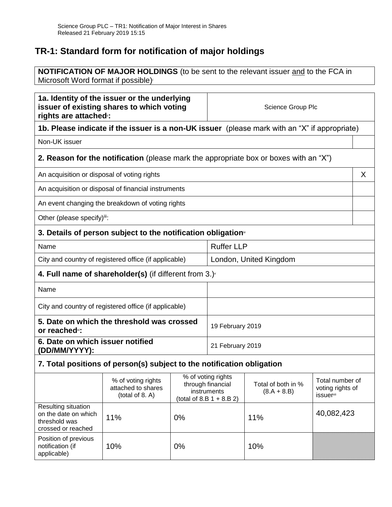# **TR-1: Standard form for notification of major holdings**

**NOTIFICATION OF MAJOR HOLDINGS** (to be sent to the relevant issuer and to the FCA in Microsoft Word format if possible) i

| 1a. Identity of the issuer or the underlying<br>issuer of existing shares to which voting<br>rights are attached: |                                                                                               |    | Science Group Plc                                                                     |                                     |                                                                     |
|-------------------------------------------------------------------------------------------------------------------|-----------------------------------------------------------------------------------------------|----|---------------------------------------------------------------------------------------|-------------------------------------|---------------------------------------------------------------------|
|                                                                                                                   | 1b. Please indicate if the issuer is a non-UK issuer (please mark with an "X" if appropriate) |    |                                                                                       |                                     |                                                                     |
| Non-UK issuer                                                                                                     |                                                                                               |    |                                                                                       |                                     |                                                                     |
|                                                                                                                   | 2. Reason for the notification (please mark the appropriate box or boxes with an "X")         |    |                                                                                       |                                     |                                                                     |
| An acquisition or disposal of voting rights                                                                       |                                                                                               |    |                                                                                       |                                     | X                                                                   |
|                                                                                                                   | An acquisition or disposal of financial instruments                                           |    |                                                                                       |                                     |                                                                     |
|                                                                                                                   | An event changing the breakdown of voting rights                                              |    |                                                                                       |                                     |                                                                     |
| Other (please specify)iii:                                                                                        |                                                                                               |    |                                                                                       |                                     |                                                                     |
| 3. Details of person subject to the notification obligation <sup>®</sup>                                          |                                                                                               |    |                                                                                       |                                     |                                                                     |
| Name                                                                                                              |                                                                                               |    | <b>Ruffer LLP</b>                                                                     |                                     |                                                                     |
| City and country of registered office (if applicable)<br>London, United Kingdom                                   |                                                                                               |    |                                                                                       |                                     |                                                                     |
|                                                                                                                   | 4. Full name of shareholder(s) (if different from $3.$ )                                      |    |                                                                                       |                                     |                                                                     |
| Name                                                                                                              |                                                                                               |    |                                                                                       |                                     |                                                                     |
| City and country of registered office (if applicable)                                                             |                                                                                               |    |                                                                                       |                                     |                                                                     |
| 5. Date on which the threshold was crossed<br>or reached <sup>®</sup> :                                           |                                                                                               |    | 19 February 2019                                                                      |                                     |                                                                     |
| 6. Date on which issuer notified<br>(DD/MM/YYYY):                                                                 |                                                                                               |    | 21 February 2019                                                                      |                                     |                                                                     |
| 7. Total positions of person(s) subject to the notification obligation                                            |                                                                                               |    |                                                                                       |                                     |                                                                     |
|                                                                                                                   | % of voting rights<br>attached to shares<br>(total of 8. A)                                   |    | % of voting rights<br>through financial<br>instruments<br>(total of 8.B $1 + 8.B 2$ ) | Total of both in %<br>$(8.A + 8.B)$ | Total number of<br>voting rights of<br><i>issuer</i> <sup>vii</sup> |
| Resulting situation<br>on the date on which<br>threshold was<br>crossed or reached                                | 11%                                                                                           | 0% |                                                                                       | 11%                                 | 40,082,423                                                          |
| Position of previous<br>notification (if<br>applicable)                                                           | 10%                                                                                           | 0% |                                                                                       | 10%                                 |                                                                     |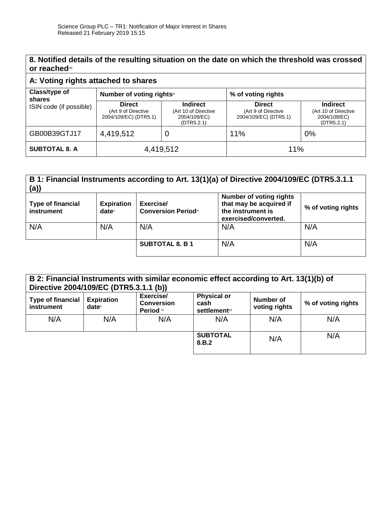### **8. Notified details of the resulting situation on the date on which the threshold was crossed or reached**viii

## **A: Voting rights attached to shares**

| Class/type of<br>shares | Number of voting rightsix                                     |                                                                       | % of voting rights                                            |                                                                       |
|-------------------------|---------------------------------------------------------------|-----------------------------------------------------------------------|---------------------------------------------------------------|-----------------------------------------------------------------------|
| ISIN code (if possible) | <b>Direct</b><br>(Art 9 of Directive<br>2004/109/EC) (DTR5.1) | <b>Indirect</b><br>(Art 10 of Directive<br>2004/109/EC)<br>(DTR5.2.1) | <b>Direct</b><br>(Art 9 of Directive<br>2004/109/EC) (DTR5.1) | <b>Indirect</b><br>(Art 10 of Directive<br>2004/109/EC)<br>(DTR5.2.1) |
| GB00B39GTJ17            | 4,419,512                                                     |                                                                       | 11%                                                           | 0%                                                                    |
| <b>SUBTOTAL 8. A</b>    | 4,419,512                                                     |                                                                       | 11%                                                           |                                                                       |

#### **B 1: Financial Instruments according to Art. 13(1)(a) of Directive 2004/109/EC (DTR5.3.1.1 (a)) Number of voting rights**

| <b>Type of financial</b><br>instrument | <b>Expiration</b><br>$date^x$ | Exercise/<br><b>Conversion Periodxi</b> | Number of voting rights<br>that may be acquired if<br>the instrument is<br>exercised/converted. | % of voting rights |
|----------------------------------------|-------------------------------|-----------------------------------------|-------------------------------------------------------------------------------------------------|--------------------|
| N/A                                    | N/A                           | N/A                                     | N/A                                                                                             | N/A                |
|                                        |                               | <b>SUBTOTAL 8. B 1</b>                  | N/A                                                                                             | N/A                |

| B 2: Financial Instruments with similar economic effect according to Art. 13(1)(b) of<br>Directive 2004/109/EC (DTR5.3.1.1 (b)) |                               |                                             |                                                     |                            |                    |
|---------------------------------------------------------------------------------------------------------------------------------|-------------------------------|---------------------------------------------|-----------------------------------------------------|----------------------------|--------------------|
| Type of financial<br><b>instrument</b>                                                                                          | <b>Expiration</b><br>$date^x$ | Exercise/<br><b>Conversion</b><br>Period xi | <b>Physical or</b><br>cash<br><b>settlement</b> xii | Number of<br>voting rights | % of voting rights |
| N/A                                                                                                                             | N/A                           | N/A                                         | N/A                                                 | N/A                        | N/A                |
|                                                                                                                                 |                               |                                             | <b>SUBTOTAL</b><br>8.B.2                            | N/A                        | N/A                |